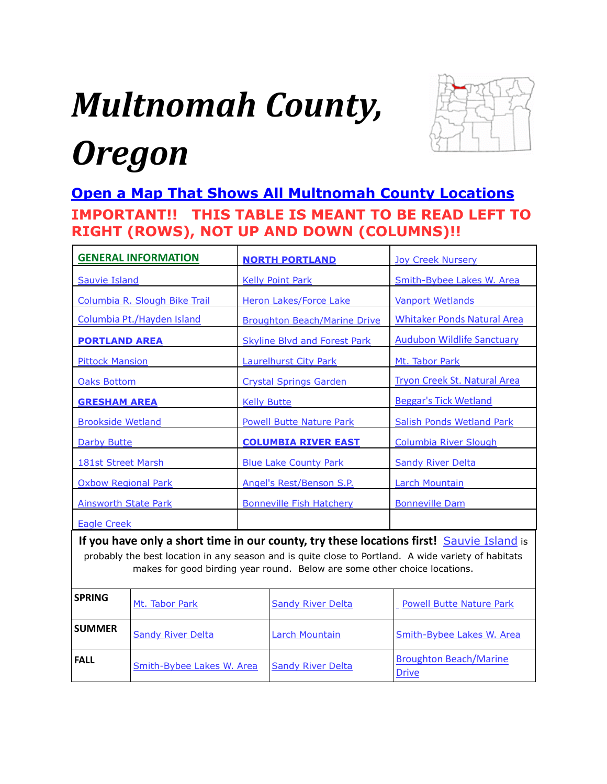# <span id="page-0-0"></span>*Multnomah County, Oregon*



# **[Open a Map That Shows All Multnomah County Locations](https://www.google.com/maps/d/edit?mid=zVl1oTDALjf4.kHpXLLhI_RhA&usp=sharing) IMPORTANT!! THIS TABLE IS MEANT TO BE READ LEFT TO RIGHT (ROWS), NOT UP AND DOWN (COLUMNS)!!**

| <b>GENERAL INFORMATION</b>                                                                                                                                                                                                                                                   |                | <b>NORTH PORTLAND</b>               |                                               | <b>Joy Creek Nursery</b>            |
|------------------------------------------------------------------------------------------------------------------------------------------------------------------------------------------------------------------------------------------------------------------------------|----------------|-------------------------------------|-----------------------------------------------|-------------------------------------|
| <b>Sauvie Island</b>                                                                                                                                                                                                                                                         |                | <b>Kelly Point Park</b>             |                                               | Smith-Bybee Lakes W. Area           |
| Columbia R. Slough Bike Trail                                                                                                                                                                                                                                                |                | <b>Heron Lakes/Force Lake</b>       |                                               | <b>Vanport Wetlands</b>             |
| Columbia Pt./Hayden Island                                                                                                                                                                                                                                                   |                | <b>Broughton Beach/Marine Drive</b> |                                               | <b>Whitaker Ponds Natural Area</b>  |
| <b>PORTLAND AREA</b>                                                                                                                                                                                                                                                         |                | <b>Skyline Blvd and Forest Park</b> |                                               | <b>Audubon Wildlife Sanctuary</b>   |
| <b>Pittock Mansion</b>                                                                                                                                                                                                                                                       |                | <b>Laurelhurst City Park</b>        |                                               | Mt. Tabor Park                      |
| <b>Oaks Bottom</b>                                                                                                                                                                                                                                                           |                | <b>Crystal Springs Garden</b>       |                                               | <b>Tryon Creek St. Natural Area</b> |
| <b>GRESHAM AREA</b>                                                                                                                                                                                                                                                          |                | <b>Kelly Butte</b>                  |                                               | <b>Beggar's Tick Wetland</b>        |
| <b>Brookside Wetland</b>                                                                                                                                                                                                                                                     |                | <b>Powell Butte Nature Park</b>     |                                               | <b>Salish Ponds Wetland Park</b>    |
| <b>Darby Butte</b>                                                                                                                                                                                                                                                           |                | <b>COLUMBIA RIVER EAST</b>          |                                               | <b>Columbia River Slough</b>        |
| <b>181st Street Marsh</b>                                                                                                                                                                                                                                                    |                | <b>Blue Lake County Park</b>        |                                               | <b>Sandy River Delta</b>            |
| <b>Oxbow Regional Park</b>                                                                                                                                                                                                                                                   |                | Angel's Rest/Benson S.P.            |                                               | <b>Larch Mountain</b>               |
| <b>Ainsworth State Park</b>                                                                                                                                                                                                                                                  |                | <b>Bonneville Fish Hatchery</b>     |                                               | <b>Bonneville Dam</b>               |
| <b>Eagle Creek</b>                                                                                                                                                                                                                                                           |                |                                     |                                               |                                     |
| If you have only a short time in our county, try these locations first! Sauvie Island is<br>probably the best location in any season and is quite close to Portland. A wide variety of habitats<br>makes for good birding year round. Below are some other choice locations. |                |                                     |                                               |                                     |
| <b>SPRING</b>                                                                                                                                                                                                                                                                | Mt. Tabor Park |                                     | <b>Sandy River Delta</b>                      | <b>Powell Butte Nature Park</b>     |
| <b>SUMMER</b><br><b>Sandy River Delta</b>                                                                                                                                                                                                                                    |                | Larch Mountain                      | Smith-Bybee Lakes W. Area                     |                                     |
| <b>FALL</b><br>Smith-Bybee Lakes W. Area                                                                                                                                                                                                                                     |                | <b>Sandy River Delta</b>            | <b>Broughton Beach/Marine</b><br><b>Drive</b> |                                     |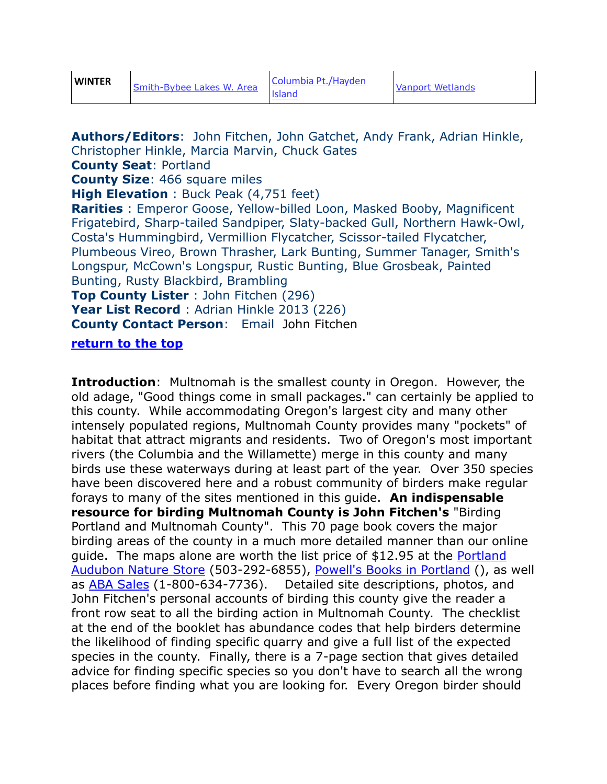<span id="page-1-0"></span>**Authors/Editors**: John Fitchen, John Gatchet, Andy Frank, Adrian Hinkle, Christopher Hinkle, Marcia Marvin, Chuck Gates **County Seat**: Portland **County Size**: 466 square miles **High Elevation** : Buck Peak (4,751 feet) **Rarities** : Emperor Goose, Yellow-billed Loon, Masked Booby, Magnificent Frigatebird, Sharp-tailed Sandpiper, Slaty-backed Gull, Northern Hawk-Owl, Costa's Hummingbird, Vermillion Flycatcher, Scissor-tailed Flycatcher, Plumbeous Vireo, Brown Thrasher, Lark Bunting, Summer Tanager, Smith's Longspur, McCown's Longspur, Rustic Bunting, Blue Grosbeak, Painted Bunting, Rusty Blackbird, Brambling **Top County Lister** : John Fitchen (296) **Year List Record** : Adrian Hinkle 2013 (226) **County Contact Person**: Email [John Fitchen](mailto:Jfitchen@aol.com)

#### **[return to the top](#page-0-0)**

**Introduction**: Multnomah is the smallest county in Oregon. However, the old adage, "Good things come in small packages." can certainly be applied to this county. While accommodating Oregon's largest city and many other intensely populated regions, Multnomah County provides many "pockets" of habitat that attract migrants and residents. Two of Oregon's most important rivers (the Columbia and the Willamette) merge in this county and many birds use these waterways during at least part of the year. Over 350 species have been discovered here and a robust community of birders make regular forays to many of the sites mentioned in this guide. **An indispensable resource for birding Multnomah County is John Fitchen's** ["Birding](https://smile.amazon.com/Birding-Portland-Multnomah-County-Fitchen/dp/B005FMTO00/ref=smi_www_rco2_go_smi_g2609328962?_encoding=UTF8&*Version*=1&*entries*=0&ie=UTF8)  [Portland and Multnomah County"](https://smile.amazon.com/Birding-Portland-Multnomah-County-Fitchen/dp/B005FMTO00/ref=smi_www_rco2_go_smi_g2609328962?_encoding=UTF8&*Version*=1&*entries*=0&ie=UTF8). This 70 page book covers the major birding areas of the county in a much more detailed manner than our online guide. The maps alone are worth the list price of \$12.95 at the [Portland](http://audubonportland.org/support/nature-store/catalog.html?Vl=1&Tp=2)  [Audubon Nature Store](http://audubonportland.org/support/nature-store/catalog.html?Vl=1&Tp=2) (503-292-6855), [Powell's Books in Portland](http://www.powells.com/book/birding-portland-multnomah-county-2221135263256/1-12) (), as well as [ABA Sales](http://www.buteobooks.com/category/OR.html) (1-800-634-7736). Detailed site descriptions, photos, and John Fitchen's personal accounts of birding this county give the reader a front row seat to all the birding action in Multnomah County. The checklist at the end of the booklet has abundance codes that help birders determine the likelihood of finding specific quarry and give a full list of the expected species in the county. Finally, there is a 7-page section that gives detailed advice for finding specific species so you don't have to search all the wrong places before finding what you are looking for. Every Oregon birder should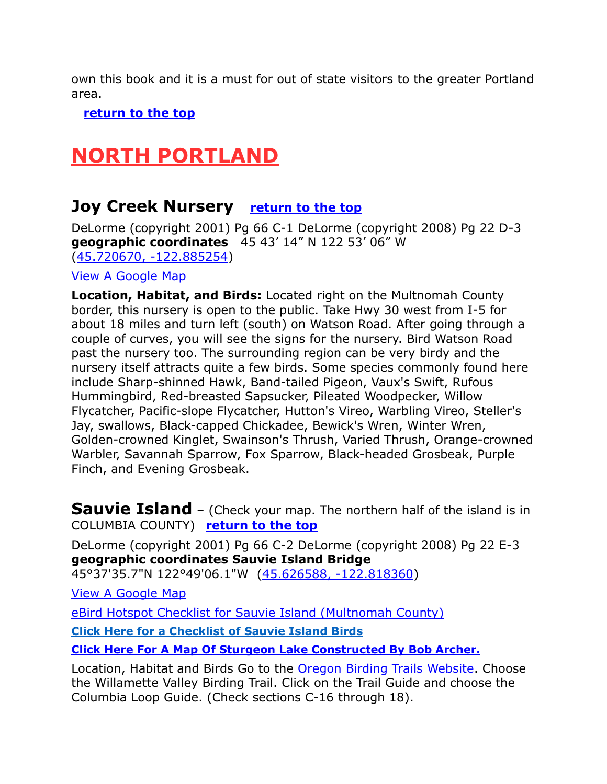own this book and it is a must for out of state visitors to the greater Portland area.

 **[return to the top](#page-0-0)**

# <span id="page-2-0"></span>**NORTH PORTLAND**

### <span id="page-2-1"></span>**Joy Creek Nursery [return to the top](#page-0-0)**

DeLorme (copyright 2001) Pg 66 C-1 DeLorme (copyright 2008) Pg 22 D-3 **geographic coordinates** 45 43' 14" N 122 53' 06" W [\(45.720670, -122.885254\)](https://www.google.com/maps/place/45°43)

[View A Google Map](http://maps.google.com/maps/ms?hl=en&ie=UTF8&msa=0&msid=108036481085398338899.00047ad0abf3c5174d8c6&ll=45.482281,-122.029266&spn=0.765464,2.113495&z=9)

**Location, Habitat, and Birds:** Located right on the Multnomah County border, this nursery is open to the public. Take Hwy 30 west from I-5 for about 18 miles and turn left (south) on Watson Road. After going through a couple of curves, you will see the signs for the nursery. Bird Watson Road past the nursery too. The surrounding region can be very birdy and the nursery itself attracts quite a few birds. Some species commonly found here include Sharp-shinned Hawk, Band-tailed Pigeon, Vaux's Swift, Rufous Hummingbird, Red-breasted Sapsucker, Pileated Woodpecker, Willow Flycatcher, Pacific-slope Flycatcher, Hutton's Vireo, Warbling Vireo, Steller's Jay, swallows, Black-capped Chickadee, Bewick's Wren, Winter Wren, Golden-crowned Kinglet, Swainson's Thrush, Varied Thrush, Orange-crowned Warbler, Savannah Sparrow, Fox Sparrow, Black-headed Grosbeak, Purple Finch, and Evening Grosbeak.

<span id="page-2-2"></span>**Sauvie Island** – (Check your map. The northern half of the island is in COLUMBIA COUNTY) **[return to the top](#page-0-0)**

DeLorme (copyright 2001) Pg 66 C-2 DeLorme (copyright 2008) Pg 22 E-3 **geographic coordinates Sauvie Island Bridge** 

45°37'35.7"N 122°49'06.1"W [\(45.626588, -122.818360\)](https://www.google.com/maps/place/45°37)

[View A Google Map](http://maps.google.com/maps/ms?hl=en&ie=UTF8&msa=0&ll=45.626764,-122.817535&spn=0.194237,0.527687&z=12&msid=108036481085398338899.00046dafaa1c9d8d45cab)

[eBird Hotspot Checklist for Sauvie Island \(Multnomah County\)](http://ebird.org/ebird/hotspot/L712038)

**[Click Here for a Checklist of Sauvie Island Birds](https://sauvieisland.org/wp-content/uploads/2018/09/Sauvie-birdlist-9-17-16-2.pdf)**

**[Click Here For A Map Of Sturgeon Lake Constructed By Bob Archer.](https://www.google.com/maps/d/edit?mid=zDYUv0mTlYiM.kTxgIpn68wsk)**

Location, Habitat and Birds Go to the [Oregon Birding Trails Website.](http://www.oregonbirdingtrails.org/) Choose the Willamette Valley Birding Trail. Click on the Trail Guide and choose the Columbia Loop Guide. (Check sections C-16 through 18).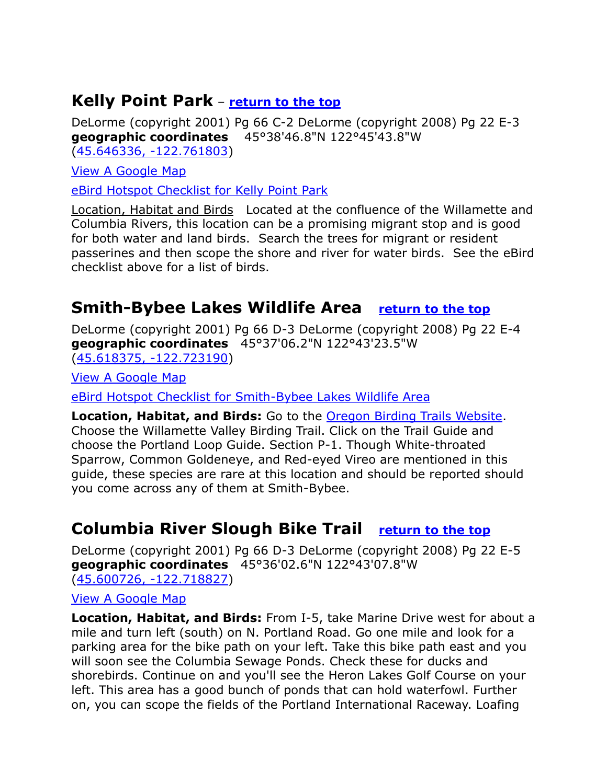### <span id="page-3-0"></span>**Kelly Point Park** – **[return to the top](#page-0-0)**

DeLorme (copyright 2001) Pg 66 C-2 DeLorme (copyright 2008) Pg 22 E-3 **geographic coordinates** 45°38'46.8"N 122°45'43.8"W [\(45.646336, -122.761803\)](https://www.google.com/maps/place/45°38)

[View A Google Map](http://maps.google.com/maps/ms?hl=en&ie=UTF8&msa=0&ll=45.533289,-122.423401&spn=0.778238,2.110748&z=10&msid=108036481085398338899.00046db3985ea12c7068a)

[eBird Hotspot Checklist for Kelly Point Park](http://ebird.org/ebird/hotspot/L907561?yr=all&m=&rank=mrec)

Location, Habitat and Birds Located at the confluence of the Willamette and Columbia Rivers, this location can be a promising migrant stop and is good for both water and land birds. Search the trees for migrant or resident passerines and then scope the shore and river for water birds. See the eBird checklist above for a list of birds.

### <span id="page-3-1"></span>**Smith-Bybee Lakes Wildlife Area [return to the top](#page-0-0)**

DeLorme (copyright 2001) Pg 66 D-3 DeLorme (copyright 2008) Pg 22 E-4 **geographic coordinates** 45°37'06.2"N 122°43'23.5"W [\(45.618375, -122.723190\)](https://www.google.com/maps/place/45°37)

[View A Google Map](http://maps.google.com/maps/ms?hl=en&ie=UTF8&msa=0&ll=45.533289,-122.423401&spn=0.778238,2.110748&z=10&msid=108036481085398338899.00046db3985ea12c7068a)

[eBird Hotspot Checklist for Smith-Bybee Lakes Wildlife Area](http://ebird.org/ebird/hotspot/L159604)

**Location, Habitat, and Birds:** Go to the [Oregon Birding Trails Website.](http://www.oregonbirdingtrails.org/) Choose the Willamette Valley Birding Trail. Click on the Trail Guide and choose the Portland Loop Guide. Section P-1. Though White-throated Sparrow, Common Goldeneye, and Red-eyed Vireo are mentioned in this guide, these species are rare at this location and should be reported should you come across any of them at Smith-Bybee.

### <span id="page-3-2"></span>**Columbia River Slough Bike Trail [return to the top](#page-0-0)**

DeLorme (copyright 2001) Pg 66 D-3 DeLorme (copyright 2008) Pg 22 E-5 **geographic coordinates** 45°36'02.6"N 122°43'07.8"W [\(45.600726, -122.718827\)](https://www.google.com/maps/place/45°36)

#### [View A Google Map](http://maps.google.com/maps/ms?hl=en&ie=UTF8&msa=0&msid=108036481085398338899.00046db3985ea12c7068a&ll=45.503459,-122.34375&spn=0.382589,1.056747&z=11)

**Location, Habitat, and Birds:** From I-5, take Marine Drive west for about a mile and turn left (south) on N. Portland Road. Go one mile and look for a parking area for the bike path on your left. Take this bike path east and you will soon see the Columbia Sewage Ponds. Check these for ducks and shorebirds. Continue on and you'll see the Heron Lakes Golf Course on your left. This area has a good bunch of ponds that can hold waterfowl. Further on, you can scope the fields of the Portland International Raceway. Loafing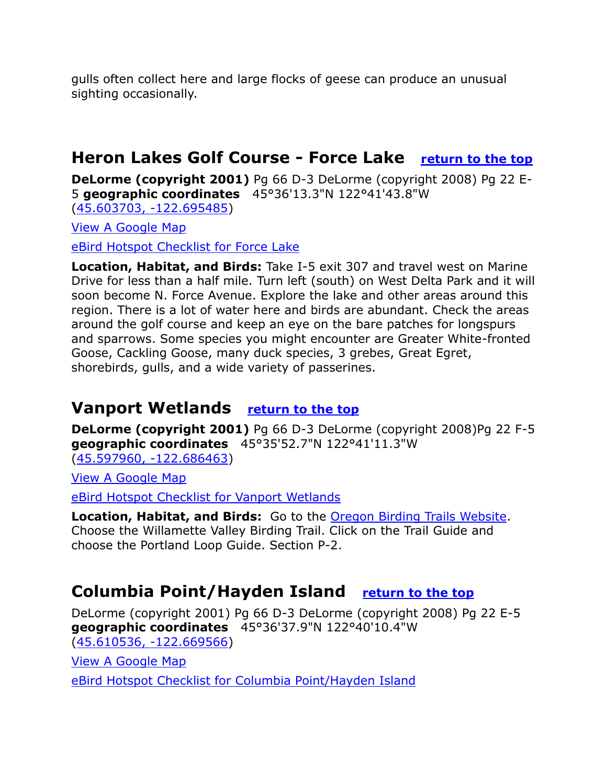gulls often collect here and large flocks of geese can produce an unusual sighting occasionally.

# <span id="page-4-0"></span>**Heron Lakes Golf Course - Force Lake [return to the top](#page-0-0)**

**DeLorme (copyright 2001)** Pg 66 D-3 DeLorme (copyright 2008) Pg 22 E-5 **geographic coordinates** 45°36'13.3"N 122°41'43.8"W [\(45.603703, -122.695485\)](https://www.google.com/maps/place/45°36)

[View A Google Map](http://maps.google.com/maps/ms?hl=en&ie=UTF8&msa=0&msid=108036481085398338899.00047ad0abf3c5174d8c6&ll=45.482281,-122.029266&spn=0.765464,2.113495&z=9)

[eBird Hotspot Checklist for Force Lake](http://ebird.org/ebird/hotspot/L1027749)

**Location, Habitat, and Birds:** Take I-5 exit 307 and travel west on Marine Drive for less than a half mile. Turn left (south) on West Delta Park and it will soon become N. Force Avenue. Explore the lake and other areas around this region. There is a lot of water here and birds are abundant. Check the areas around the golf course and keep an eye on the bare patches for longspurs and sparrows. Some species you might encounter are Greater White-fronted Goose, Cackling Goose, many duck species, 3 grebes, Great Egret, shorebirds, gulls, and a wide variety of passerines.

### <span id="page-4-1"></span>**Vanport Wetlands [return to the top](#page-0-0)**

**DeLorme (copyright 2001)** Pg 66 D-3 DeLorme (copyright 2008)Pg 22 F-5 **geographic coordinates** 45°35'52.7"N 122°41'11.3"W [\(45.597960, -122.686463\)](https://www.google.com/maps/place/45°35)

[View A Google Map](http://maps.google.com/maps/ms?hl=en&ie=UTF8&msa=0&ll=45.533289,-122.423401&spn=0.778238,2.110748&z=10&msid=108036481085398338899.00046db3985ea12c7068a)

[eBird Hotspot Checklist for Vanport Wetlands](http://ebird.org/ebird/hotspot/L714063)

**Location, Habitat, and Birds:** Go to the [Oregon Birding Trails Website.](http://www.oregonbirdingtrails.org/) Choose the Willamette Valley Birding Trail. Click on the Trail Guide and choose the Portland Loop Guide. Section P-2.

# <span id="page-4-2"></span>**Columbia Point/Hayden Island [return to the top](#page-0-0)**

DeLorme (copyright 2001) Pg 66 D-3 DeLorme (copyright 2008) Pg 22 E-5 **geographic coordinates** 45°36'37.9"N 122°40'10.4"W [\(45.610536, -122.669566\)](https://www.google.com/maps/place/45°36)

[View A Google Map](http://maps.google.com/maps/ms?hl=en&ie=UTF8&msa=0&ll=45.533289,-122.423401&spn=0.778238,2.110748&z=10&msid=108036481085398338899.00046db3985ea12c7068a)

[eBird Hotspot Checklist for Columbia Point/Hayden Island](http://ebird.org/ebird/hotspot/L2363918)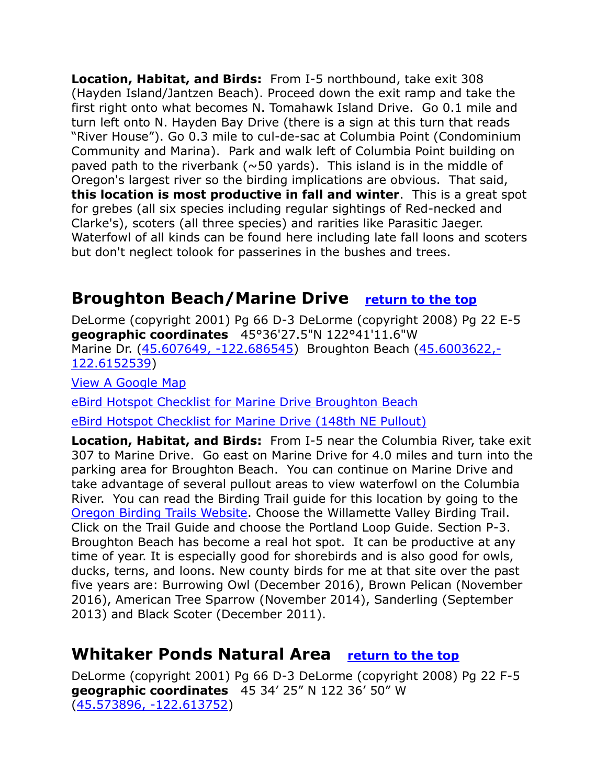**Location, Habitat, and Birds:** From I-5 northbound, take exit 308 (Hayden Island/Jantzen Beach). Proceed down the exit ramp and take the first right onto what becomes N. Tomahawk Island Drive. Go 0.1 mile and turn left onto N. Hayden Bay Drive (there is a sign at this turn that reads "River House"). Go 0.3 mile to cul-de-sac at Columbia Point (Condominium Community and Marina). Park and walk left of Columbia Point building on paved path to the riverbank ( $\sim$ 50 yards). This island is in the middle of Oregon's largest river so the birding implications are obvious. That said, **this location is most productive in fall and winter**. This is a great spot for grebes (all six species including regular sightings of Red-necked and Clarke's), scoters (all three species) and rarities like Parasitic Jaeger. Waterfowl of all kinds can be found here including late fall loons and scoters but don't neglect tolook for passerines in the bushes and trees.

# <span id="page-5-0"></span>**Broughton Beach/Marine Drive [return to the top](#page-0-0)**

DeLorme (copyright 2001) Pg 66 D-3 DeLorme (copyright 2008) Pg 22 E-5 **geographic coordinates** 45°36'27.5"N 122°41'11.6"W Marine Dr. [\(45.607649, -122.686545\)](https://www.google.com/maps/place/45°36) Broughton Beach [\(45.6003622,-](https://www.google.com/maps/place/45°36) [122.6152539\)](https://www.google.com/maps/place/45°36)

[View A Google Map](http://maps.google.com/maps/ms?hl=en&ie=UTF8&msa=0&ll=45.533289,-122.423401&spn=0.778238,2.110748&z=10&msid=108036481085398338899.00046db3985ea12c7068a)

[eBird Hotspot Checklist for Marine Drive Broughton Beach](http://ebird.org/ebird/hotspot/L815296)

[eBird Hotspot Checklist for Marine Drive \(148th NE Pullout\)](http://ebird.org/ebird/hotspot/L1901885)

**Location, Habitat, and Birds:** From I-5 near the Columbia River, take exit 307 to Marine Drive. Go east on Marine Drive for 4.0 miles and turn into the parking area for Broughton Beach. You can continue on Marine Drive and take advantage of several pullout areas to view waterfowl on the Columbia River. You can read the Birding Trail guide for this location by going to the [Oregon Birding Trails Website.](http://www.oregonbirdingtrails.org/) Choose the Willamette Valley Birding Trail. Click on the Trail Guide and choose the Portland Loop Guide. Section P-3. Broughton Beach has become a real hot spot. It can be productive at any time of year. It is especially good for shorebirds and is also good for owls, ducks, terns, and loons. New county birds for me at that site over the past five years are: Burrowing Owl (December 2016), Brown Pelican (November 2016), American Tree Sparrow (November 2014), Sanderling (September 2013) and Black Scoter (December 2011).

# <span id="page-5-1"></span>**Whitaker Ponds Natural Area [return to the top](#page-0-0)**

DeLorme (copyright 2001) Pg 66 D-3 DeLorme (copyright 2008) Pg 22 F-5 **geographic coordinates** 45 34' 25" N 122 36' 50" W [\(45.573896, -122.613752\)](https://www.google.com/maps/place/45°34)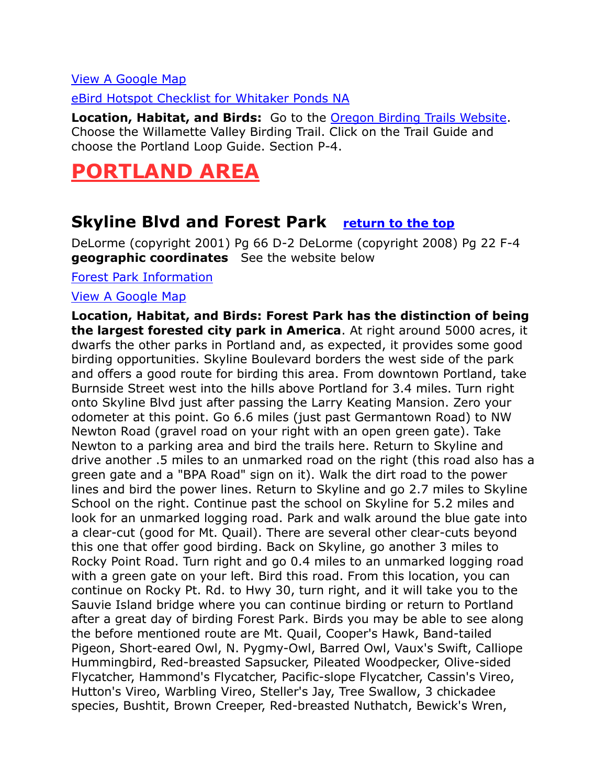### [View A Google Map](http://maps.google.com/maps/ms?hl=en&ie=UTF8&msa=0&ll=45.533289,-122.423401&spn=0.778238,2.110748&z=10&msid=108036481085398338899.00046db3985ea12c7068a)

[eBird Hotspot Checklist for](http://ebird.org/ebird/hotspot/L1413967) Whitaker Ponds NA

**Location, Habitat, and Birds:** Go to the [Oregon Birding Trails Website.](http://www.oregonbirdingtrails.org/) Choose the Willamette Valley Birding Trail. Click on the Trail Guide and choose the Portland Loop Guide. Section P-4.

# <span id="page-6-0"></span>**PORTLAND AREA**

### <span id="page-6-1"></span>**Skyline Blvd and Forest Park [return to the top](#page-0-0)**

DeLorme (copyright 2001) Pg 66 D-2 DeLorme (copyright 2008) Pg 22 F-4 **geographic coordinates** See the website below

[Forest Park Information](http://www.forestparkconservancy.org/forest-park/)

#### [View A Google Map](http://maps.google.com/maps/ms?hl=en&ie=UTF8&msa=0&msid=108036481085398338899.00047b52def01b4ea584e&ll=45.610675,-122.820969&spn=0.368411,1.056747&z=11)

**Location, Habitat, and Birds: Forest Park has the distinction of being the largest forested city park in America**. At right around 5000 acres, it dwarfs the other parks in Portland and, as expected, it provides some good birding opportunities. Skyline Boulevard borders the west side of the park and offers a good route for birding this area. From downtown Portland, take Burnside Street west into the hills above Portland for 3.4 miles. Turn right onto Skyline Blvd just after passing the Larry Keating Mansion. Zero your odometer at this point. Go 6.6 miles (just past Germantown Road) to NW Newton Road (gravel road on your right with an open green gate). Take Newton to a parking area and bird the trails here. Return to Skyline and drive another .5 miles to an unmarked road on the right (this road also has a green gate and a "BPA Road" sign on it). Walk the dirt road to the power lines and bird the power lines. Return to Skyline and go 2.7 miles to Skyline School on the right. Continue past the school on Skyline for 5.2 miles and look for an unmarked logging road. Park and walk around the blue gate into a clear-cut (good for Mt. Quail). There are several other clear-cuts beyond this one that offer good birding. Back on Skyline, go another 3 miles to Rocky Point Road. Turn right and go 0.4 miles to an unmarked logging road with a green gate on your left. Bird this road. From this location, you can continue on Rocky Pt. Rd. to Hwy 30, turn right, and it will take you to the Sauvie Island bridge where you can continue birding or return to Portland after a great day of birding Forest Park. Birds you may be able to see along the before mentioned route are Mt. Quail, Cooper's Hawk, Band-tailed Pigeon, Short-eared Owl, N. Pygmy-Owl, Barred Owl, Vaux's Swift, Calliope Hummingbird, Red-breasted Sapsucker, Pileated Woodpecker, Olive-sided Flycatcher, Hammond's Flycatcher, Pacific-slope Flycatcher, Cassin's Vireo, Hutton's Vireo, Warbling Vireo, Steller's Jay, Tree Swallow, 3 chickadee species, Bushtit, Brown Creeper, Red-breasted Nuthatch, Bewick's Wren,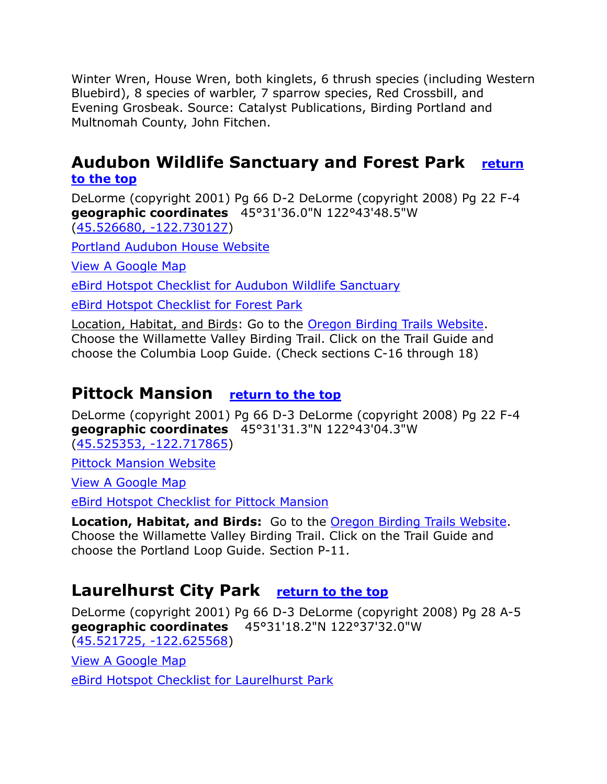Winter Wren, House Wren, both kinglets, 6 thrush species (including Western Bluebird), 8 species of warbler, 7 sparrow species, Red Crossbill, and Evening Grosbeak. Source: Catalyst Publications, Birding Portland and Multnomah County, John Fitchen.

### <span id="page-7-0"></span>**Audubon Wildlife Sanctuary and Forest Park [return](#page-0-0)  [to the top](#page-0-0)**

DeLorme (copyright 2001) Pg 66 D-2 DeLorme (copyright 2008) Pg 22 F-4 **geographic coordinates** 45°31'36.0"N 122°43'48.5"W [\(45.526680, -122.730127\)](https://www.google.com/maps/place/45°31)

[Portland Audubon House Website](http://audubonportland.org/sanctuaries/visiting)

[View A Google Map](http://maps.google.com/maps/ms?hl=en&ie=UTF8&msa=0&ll=45.532357,-122.719731&spn=0.024321,0.065961&z=15&msid=108036481085398338899.00046dacba92c9912a989)

[eBird Hotspot Checklist for Audubon Wildlife Sanctuary](http://ebird.org/ebird/hotspot/L285943)

[eBird Hotspot Checklist for Forest Park](http://ebird.org/ebird/hotspot/L1106513)

Location, Habitat, and Birds: Go to the [Oregon Birding Trails Website.](http://www.oregonbirdingtrails.org/) Choose the Willamette Valley Birding Trail. Click on the Trail Guide and choose the Columbia Loop Guide. (Check sections C-16 through 18)

### <span id="page-7-1"></span>**Pittock Mansion [return to the top](#page-0-0)**

DeLorme (copyright 2001) Pg 66 D-3 DeLorme (copyright 2008) Pg 22 F-4 **geographic coordinates** 45°31'31.3"N 122°43'04.3"W [\(45.525353, -122.717865\)](https://www.google.com/maps/place/45°31)

[Pittock Mansion Website](http://pittockmansion.org/about-the-mansion/for-naturalists/?gclid=CjwKEAiAr4vBBRCG36e415-_l1wSJAAatjJZZQ6PaLEI4ltMC4dbRAUKuf7IsW0PnC4HyofHC3RwuxoCZq_w_wcB)

[View A Google Map](http://maps.google.com/maps/ms?hl=en&ie=UTF8&msa=0&ll=45.533289,-122.423401&spn=0.778238,2.110748&z=10&msid=108036481085398338899.00046db3985ea12c7068a)

[eBird Hotspot Checklist for Pittock Mansion](http://ebird.org/ebird/hotspot/L447392)

**Location, Habitat, and Birds:** Go to the [Oregon Birding Trails Website.](http://www.oregonbirdingtrails.org/) Choose the Willamette Valley Birding Trail. Click on the Trail Guide and choose the Portland Loop Guide. Section P-11.

### <span id="page-7-2"></span>**Laurelhurst City Park [return to the top](#page-0-0)**

DeLorme (copyright 2001) Pg 66 D-3 DeLorme (copyright 2008) Pg 28 A-5 **geographic coordinates** 45°31'18.2"N 122°37'32.0"W [\(45.521725, -122.625568\)](https://www.google.com/maps/place/45°31)

[View A Google Map](http://maps.google.com/maps/ms?hl=en&ie=UTF8&msa=0&msid=108036481085398338899.00047ad0abf3c5174d8c6&ll=45.482281,-122.029266&spn=0.765464,2.113495&z=9)

[eBird Hotspot Checklist for Laurelhurst Park](http://ebird.org/ebird/hotspot/L1133945)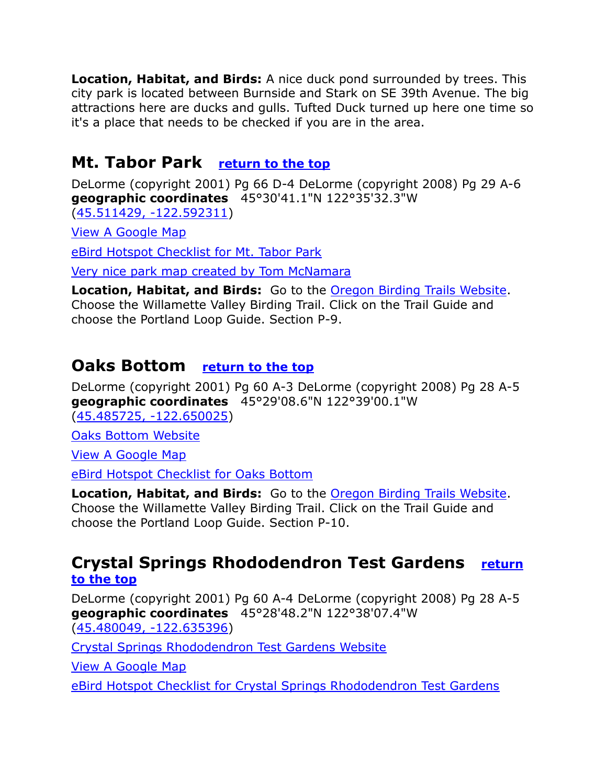**Location, Habitat, and Birds:** A nice duck pond surrounded by trees. This city park is located between Burnside and Stark on SE 39th Avenue. The big attractions here are ducks and gulls. Tufted Duck turned up here one time so it's a place that needs to be checked if you are in the area.

# <span id="page-8-0"></span>**Mt. Tabor Park [return to the top](#page-0-0)**

DeLorme (copyright 2001) Pg 66 D-4 DeLorme (copyright 2008) Pg 29 A-6 **geographic coordinates** 45°30'41.1"N 122°35'32.3"W [\(45.511429, -122.592311\)](https://www.google.com/maps/place/45°30)

[View A Google Map](http://maps.google.com/maps/ms?hl=en&ie=UTF8&msa=0&ll=45.533289,-122.423401&spn=0.778238,2.110748&z=10&msid=108036481085398338899.00046db3985ea12c7068a)

[eBird Hotspot Checklist for Mt. Tabor Park](http://ebird.org/ebird/hotspot/L447381)

[Very nice park map created by Tom McNamara](https://maps.google.com/maps/ms?msid=211377906176312304636.0004a24f4d8339f33bc21&msa=0)

**Location, Habitat, and Birds:** Go to the [Oregon Birding Trails Website.](http://www.oregonbirdingtrails.org/) Choose the Willamette Valley Birding Trail. Click on the Trail Guide and choose the Portland Loop Guide. Section P-9.

### <span id="page-8-1"></span>**Oaks Bottom [return to the top](#page-0-0)**

DeLorme (copyright 2001) Pg 60 A-3 DeLorme (copyright 2008) Pg 28 A-5 **geographic coordinates** 45°29'08.6"N 122°39'00.1"W [\(45.485725, -122.650025\)](https://www.google.com/maps/place/45°29)

[Oaks Bottom Website](https://www.portlandoregon.gov/parks/finder/index.cfm?propertyid=490&action=ViewPark)

[View A Google Map](http://maps.google.com/maps/ms?hl=en&ie=UTF8&msa=0&ll=45.533289,-122.423401&spn=0.778238,2.110748&z=10&msid=108036481085398338899.00046db3985ea12c7068a)

[eBird Hotspot Checklist for Oaks Bottom](http://ebird.org/ebird/hotspot/L453974)

**Location, Habitat, and Birds:** Go to the [Oregon Birding Trails Website.](http://www.oregonbirdingtrails.org/) Choose the Willamette Valley Birding Trail. Click on the Trail Guide and choose the Portland Loop Guide. Section P-10.

### <span id="page-8-2"></span>**Crystal Springs Rhododendron Test Gardens [return](#page-0-0)  [to the top](#page-0-0)**

DeLorme (copyright 2001) Pg 60 A-4 DeLorme (copyright 2008) Pg 28 A-5 **geographic coordinates** 45°28'48.2"N 122°38'07.4"W [\(45.480049, -122.635396\)](https://www.google.com/maps/place/45°28)

[Crystal Springs Rhododendron Test Gardens Website](http://crystalspringsgarden.org/)

[View A Google Map](http://maps.google.com/maps/ms?hl=en&ie=UTF8&msa=0&msid=108036481085398338899.00047ad0abf3c5174d8c6&ll=45.482281,-122.029266&spn=0.765464,2.113495&z=9)

[eBird Hotspot Checklist for Crystal Springs Rhododendron Test Gardens](http://ebird.org/ebird/hotspot/L792565)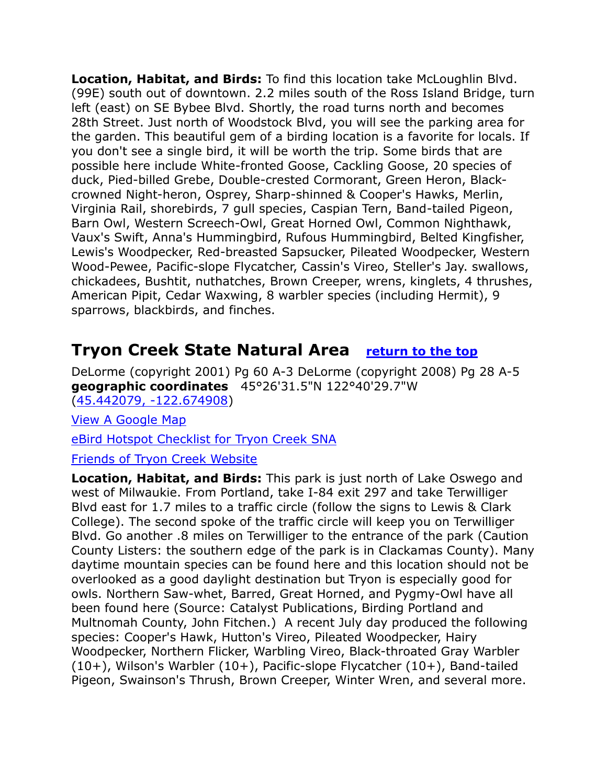**Location, Habitat, and Birds:** To find this location take McLoughlin Blvd. (99E) south out of downtown. 2.2 miles south of the Ross Island Bridge, turn left (east) on SE Bybee Blvd. Shortly, the road turns north and becomes 28th Street. Just north of Woodstock Blvd, you will see the parking area for the garden. This beautiful gem of a birding location is a favorite for locals. If you don't see a single bird, it will be worth the trip. Some birds that are possible here include White-fronted Goose, Cackling Goose, 20 species of duck, Pied-billed Grebe, Double-crested Cormorant, Green Heron, Blackcrowned Night-heron, Osprey, Sharp-shinned & Cooper's Hawks, Merlin, Virginia Rail, shorebirds, 7 gull species, Caspian Tern, Band-tailed Pigeon, Barn Owl, Western Screech-Owl, Great Horned Owl, Common Nighthawk, Vaux's Swift, Anna's Hummingbird, Rufous Hummingbird, Belted Kingfisher, Lewis's Woodpecker, Red-breasted Sapsucker, Pileated Woodpecker, Western Wood-Pewee, Pacific-slope Flycatcher, Cassin's Vireo, Steller's Jay. swallows, chickadees, Bushtit, nuthatches, Brown Creeper, wrens, kinglets, 4 thrushes, American Pipit, Cedar Waxwing, 8 warbler species (including Hermit), 9 sparrows, blackbirds, and finches.

### <span id="page-9-0"></span>**Tryon Creek State Natural Area [return to the top](#page-0-0)**

DeLorme (copyright 2001) Pg 60 A-3 DeLorme (copyright 2008) Pg 28 A-5 **geographic coordinates** 45°26'31.5"N 122°40'29.7"W [\(45.442079, -122.674908\)](https://www.google.com/maps/place/45°26)

[View A Google Map](http://maps.google.com/maps/ms?hl=en&ie=UTF8&msa=0&msid=108036481085398338899.00047b53511e32f5f26a3&ll=45.440863,-122.686386&spn=0.184763,0.528374&z=12)

[eBird Hotspot Checklist for Tryon Creek](http://ebird.org/ebird/hotspot/L875043) SNA

### [Friends of Tryon Creek Website](http://www.tryonfriends.org/)

**Location, Habitat, and Birds:** This park is just north of Lake Oswego and west of Milwaukie. From Portland, take I-84 exit 297 and take Terwilliger Blvd east for 1.7 miles to a traffic circle (follow the signs to Lewis & Clark College). The second spoke of the traffic circle will keep you on Terwilliger Blvd. Go another .8 miles on Terwilliger to the entrance of the park (Caution County Listers: the southern edge of the park is in Clackamas County). Many daytime mountain species can be found here and this location should not be overlooked as a good daylight destination but Tryon is especially good for owls. Northern Saw-whet, Barred, Great Horned, and Pygmy-Owl have all been found here (Source: Catalyst Publications, Birding Portland and Multnomah County, John Fitchen.) A recent July day produced the following species: Cooper's Hawk, Hutton's Vireo, Pileated Woodpecker, Hairy Woodpecker, Northern Flicker, Warbling Vireo, Black-throated Gray Warbler (10+), Wilson's Warbler (10+), Pacific-slope Flycatcher (10+), Band-tailed Pigeon, Swainson's Thrush, Brown Creeper, Winter Wren, and several more.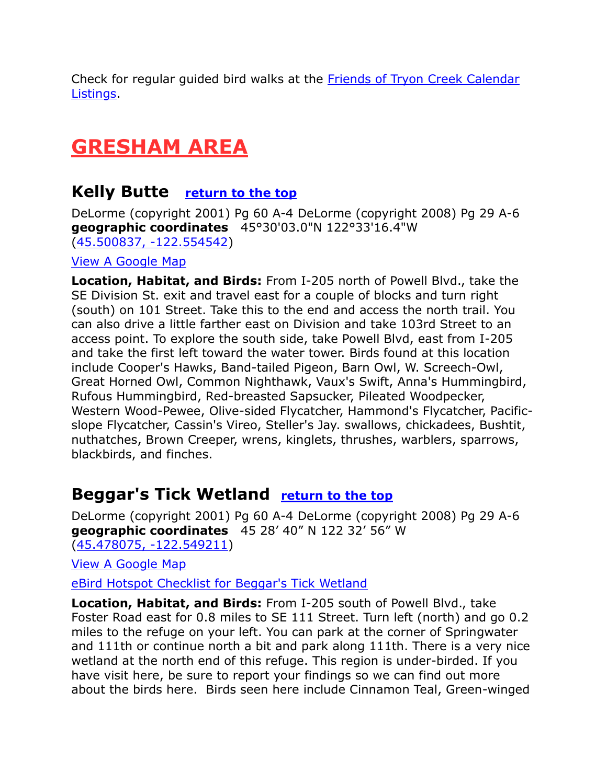Check for regular guided bird walks at the [Friends of Tryon Creek Calendar](http://www.tryonfriends.org/programs/calendar-listings/cat.listevents/2010/07/17/-.html)  [Listings.](http://www.tryonfriends.org/programs/calendar-listings/cat.listevents/2010/07/17/-.html)

# <span id="page-10-0"></span>**GRESHAM AREA**

### <span id="page-10-1"></span>**Kelly Butte [return to the top](#page-0-0)**

DeLorme (copyright 2001) Pg 60 A-4 DeLorme (copyright 2008) Pg 29 A-6 **geographic coordinates** 45°30'03.0"N 122°33'16.4"W [\(45.500837, -122.554542\)](https://www.google.com/maps/place/45°30)

### [View A Google Map](http://maps.google.com/maps/ms?hl=en&ie=UTF8&msa=0&msid=108036481085398338899.00047ad0abf3c5174d8c6&ll=45.482281,-122.029266&spn=0.765464,2.113495&z=9)

**Location, Habitat, and Birds:** From I-205 north of Powell Blvd., take the SE Division St. exit and travel east for a couple of blocks and turn right (south) on 101 Street. Take this to the end and access the north trail. You can also drive a little farther east on Division and take 103rd Street to an access point. To explore the south side, take Powell Blvd, east from I-205 and take the first left toward the water tower. Birds found at this location include Cooper's Hawks, Band-tailed Pigeon, Barn Owl, W. Screech-Owl, Great Horned Owl, Common Nighthawk, Vaux's Swift, Anna's Hummingbird, Rufous Hummingbird, Red-breasted Sapsucker, Pileated Woodpecker, Western Wood-Pewee, Olive-sided Flycatcher, Hammond's Flycatcher, Pacificslope Flycatcher, Cassin's Vireo, Steller's Jay. swallows, chickadees, Bushtit, nuthatches, Brown Creeper, wrens, kinglets, thrushes, warblers, sparrows, blackbirds, and finches.

# <span id="page-10-2"></span>**Beggar's Tick Wetland [return to the top](#page-0-0)**

DeLorme (copyright 2001) Pg 60 A-4 DeLorme (copyright 2008) Pg 29 A-6 **geographic coordinates** 45 28' 40" N 122 32' 56" W [\(45.478075, -122.549211\)](https://www.google.com/maps/place/45°28)

[View A Google Map](http://maps.google.com/maps/ms?hl=en&ie=UTF8&msa=0&msid=108036481085398338899.00047ad0abf3c5174d8c6&ll=45.482281,-122.029266&spn=0.765464,2.113495&z=9)

[eBird Hotspot Checklist for Beggar's Tick Wetland](http://ebird.org/ebird/hotspot/L1861216)

**Location, Habitat, and Birds:** From I-205 south of Powell Blvd., take Foster Road east for 0.8 miles to SE 111 Street. Turn left (north) and go 0.2 miles to the refuge on your left. You can park at the corner of Springwater and 111th or continue north a bit and park along 111th. There is a very nice wetland at the north end of this refuge. This region is under-birded. If you have visit here, be sure to report your findings so we can find out more about the birds here. Birds seen here include Cinnamon Teal, Green-winged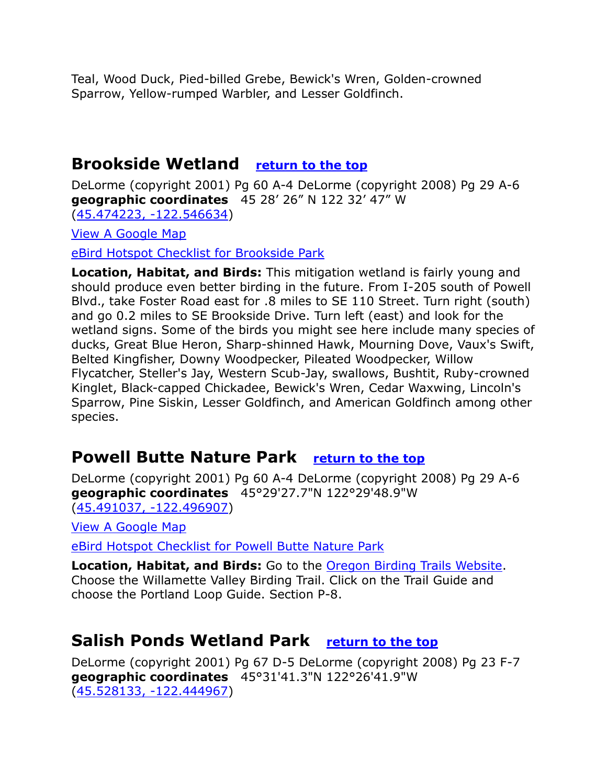Teal, Wood Duck, Pied-billed Grebe, Bewick's Wren, Golden-crowned Sparrow, Yellow-rumped Warbler, and Lesser Goldfinch.

### <span id="page-11-0"></span>**Brookside Wetland [return to the top](#page-0-0)**

DeLorme (copyright 2001) Pg 60 A-4 DeLorme (copyright 2008) Pg 29 A-6 **geographic coordinates** 45 28' 26" N 122 32' 47" W [\(45.474223, -122.546634\)](https://www.google.com/maps/place/45°28)

[View A Google Map](http://maps.google.com/maps/ms?hl=en&ie=UTF8&msa=0&msid=108036481085398338899.00047ad0abf3c5174d8c6&ll=45.482281,-122.029266&spn=0.765464,2.113495&z=9)

[eBird Hotspot Checklist for Brookside Park](http://ebird.org/ebird/hotspot/L1778337)

**Location, Habitat, and Birds:** This mitigation wetland is fairly young and should produce even better birding in the future. From I-205 south of Powell Blvd., take Foster Road east for .8 miles to SE 110 Street. Turn right (south) and go 0.2 miles to SE Brookside Drive. Turn left (east) and look for the wetland signs. Some of the birds you might see here include many species of ducks, Great Blue Heron, Sharp-shinned Hawk, Mourning Dove, Vaux's Swift, Belted Kingfisher, Downy Woodpecker, Pileated Woodpecker, Willow Flycatcher, Steller's Jay, Western Scub-Jay, swallows, Bushtit, Ruby-crowned Kinglet, Black-capped Chickadee, Bewick's Wren, Cedar Waxwing, Lincoln's Sparrow, Pine Siskin, Lesser Goldfinch, and American Goldfinch among other species.

### <span id="page-11-1"></span>**Powell Butte Nature Park [return to the top](#page-0-0)**

DeLorme (copyright 2001) Pg 60 A-4 DeLorme (copyright 2008) Pg 29 A-6 **geographic coordinates** 45°29'27.7"N 122°29'48.9"W [\(45.491037, -122.496907\)](https://www.google.com/maps/place/45°29)

[View A Google Map](http://maps.google.com/maps/ms?hl=en&ie=UTF8&msa=0&ll=45.533289,-122.423401&spn=0.778238,2.110748&z=10&msid=108036481085398338899.00046db3985ea12c7068a)

[eBird Hotspot Checklist for Powell Butte Nature Park](http://ebird.org/ebird/hotspot/L252795)

**Location, Habitat, and Birds:** Go to the [Oregon Birding Trails Website.](http://www.oregonbirdingtrails.org/) Choose the Willamette Valley Birding Trail. Click on the Trail Guide and choose the Portland Loop Guide. Section P-8.

### <span id="page-11-2"></span>**Salish Ponds Wetland Park [return to the top](#page-0-0)**

DeLorme (copyright 2001) Pg 67 D-5 DeLorme (copyright 2008) Pg 23 F-7 **geographic coordinates** 45°31'41.3"N 122°26'41.9"W [\(45.528133, -122.444967\)](https://www.google.com/maps/place/45°31)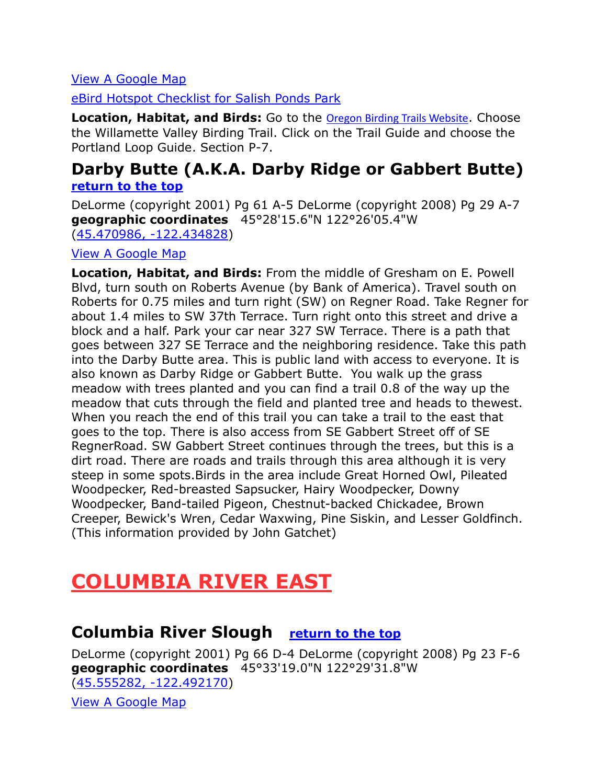### [View A Google Map](http://maps.google.com/maps/ms?hl=en&ie=UTF8&msa=0&ll=45.533289,-122.423401&spn=0.778238,2.110748&z=10&msid=108036481085398338899.00046db3985ea12c7068a)

[eBird Hotspot Checklist for Salish Ponds Park](http://ebird.org/ebird/hotspot/L1484071)

**Location, Habitat, and Birds:** Go to the [Oregon Birding Trails Website](http://www.oregonbirdingtrails.org/). Choose the Willamette Valley Birding Trail. Click on the Trail Guide and choose the Portland Loop Guide. Section P-7.

### <span id="page-12-0"></span>**Darby Butte (A.K.A. Darby Ridge or Gabbert Butte) [return to the top](#page-0-0)**

DeLorme (copyright 2001) Pg 61 A-5 DeLorme (copyright 2008) Pg 29 A-7 **geographic coordinates** 45°28'15.6"N 122°26'05.4"W [\(45.470986, -122.434828\)](https://www.google.com/maps/place/45°28)

#### [View A Google Map](http://maps.google.com/maps/ms?hl=en&ie=UTF8&msa=0&ll=45.477887,-122.395935&spn=0.047785,0.132093&z=14&msid=108036481085398338899.000472da0ba332b042be9)

**Location, Habitat, and Birds:** From the middle of Gresham on E. Powell Blvd, turn south on Roberts Avenue (by Bank of America). Travel south on Roberts for 0.75 miles and turn right (SW) on Regner Road. Take Regner for about 1.4 miles to SW 37th Terrace. Turn right onto this street and drive a block and a half. Park your car near 327 SW Terrace. There is a path that goes between 327 SE Terrace and the neighboring residence. Take this path into the Darby Butte area. This is public land with access to everyone. It is also known as Darby Ridge or Gabbert Butte. You walk up the grass meadow with trees planted and you can find a trail 0.8 of the way up the meadow that cuts through the field and planted tree and heads to thewest. When you reach the end of this trail you can take a trail to the east that goes to the top. There is also access from SE Gabbert Street off of SE RegnerRoad. SW Gabbert Street continues through the trees, but this is a dirt road. There are roads and trails through this area although it is very steep in some spots.Birds in the area include Great Horned Owl, Pileated Woodpecker, Red-breasted Sapsucker, Hairy Woodpecker, Downy Woodpecker, Band-tailed Pigeon, Chestnut-backed Chickadee, Brown Creeper, Bewick's Wren, Cedar Waxwing, Pine Siskin, and Lesser Goldfinch. (This information provided by John Gatchet)

# <span id="page-12-1"></span>**COLUMBIA RIVER EAST**

### <span id="page-12-2"></span>**Columbia River Slough [return to the top](#page-0-0)**

DeLorme (copyright 2001) Pg 66 D-4 DeLorme (copyright 2008) Pg 23 F-6 **geographic coordinates** 45°33'19.0"N 122°29'31.8"W [\(45.555282, -122.492170\)](https://www.google.com/maps/place/45°33)

[View A Google Map](http://maps.google.com/maps/ms?hl=en&ie=UTF8&msa=0&ll=45.533289,-122.423401&spn=0.778238,2.110748&z=10&msid=108036481085398338899.00046db3985ea12c7068a)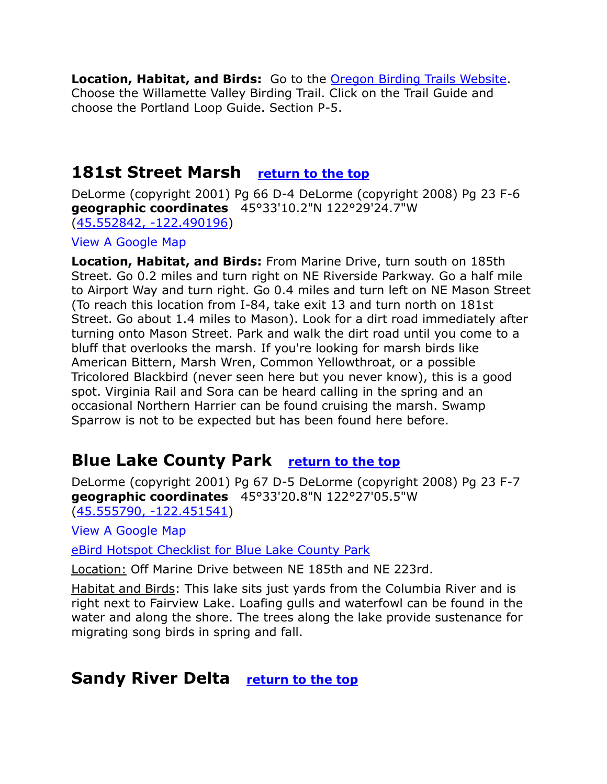**Location, Habitat, and Birds:** Go to the [Oregon Birding Trails Website.](http://www.oregonbirdingtrails.org/) Choose the Willamette Valley Birding Trail. Click on the Trail Guide and choose the Portland Loop Guide. Section P-5.

### <span id="page-13-0"></span>**181st Street Marsh [return to the top](#page-0-0)**

DeLorme (copyright 2001) Pg 66 D-4 DeLorme (copyright 2008) Pg 23 F-6 **geographic coordinates** 45°33'10.2"N 122°29'24.7"W [\(45.552842, -122.490196\)](https://www.google.com/maps/place/45°33)

[View A Google Map](http://maps.google.com/maps/ms?hl=en&ie=UTF8&msa=0&ll=45.533289,-122.423401&spn=0.778238,2.110748&z=10&msid=108036481085398338899.00046db3985ea12c7068a)

**Location, Habitat, and Birds:** From Marine Drive, turn south on 185th Street. Go 0.2 miles and turn right on NE Riverside Parkway. Go a half mile to Airport Way and turn right. Go 0.4 miles and turn left on NE Mason Street (To reach this location from I-84, take exit 13 and turn north on 181st Street. Go about 1.4 miles to Mason). Look for a dirt road immediately after turning onto Mason Street. Park and walk the dirt road until you come to a bluff that overlooks the marsh. If you're looking for marsh birds like American Bittern, Marsh Wren, Common Yellowthroat, or a possible Tricolored Blackbird (never seen here but you never know), this is a good spot. Virginia Rail and Sora can be heard calling in the spring and an occasional Northern Harrier can be found cruising the marsh. Swamp Sparrow is not to be expected but has been found here before.

# <span id="page-13-1"></span>**Blue Lake County Park [return to the top](#page-0-0)**

DeLorme (copyright 2001) Pg 67 D-5 DeLorme (copyright 2008) Pg 23 F-7 **geographic coordinates** 45°33'20.8"N 122°27'05.5"W [\(45.555790, -122.451541\)](https://www.google.com/maps/place/45°33)

[View A Google Map](http://www.us-places.com/map-places.php?placeid=2040731)

[eBird Hotspot Checklist for Blue Lake County Park](http://ebird.org/ebird/hotspot/L2281639)

Location: Off Marine Drive between NE 185th and NE 223rd.

Habitat and Birds: This lake sits just yards from the Columbia River and is right next to Fairview Lake. Loafing gulls and waterfowl can be found in the water and along the shore. The trees along the lake provide sustenance for migrating song birds in spring and fall.

### <span id="page-13-2"></span>**Sandy River Delta [return to the top](#page-0-0)**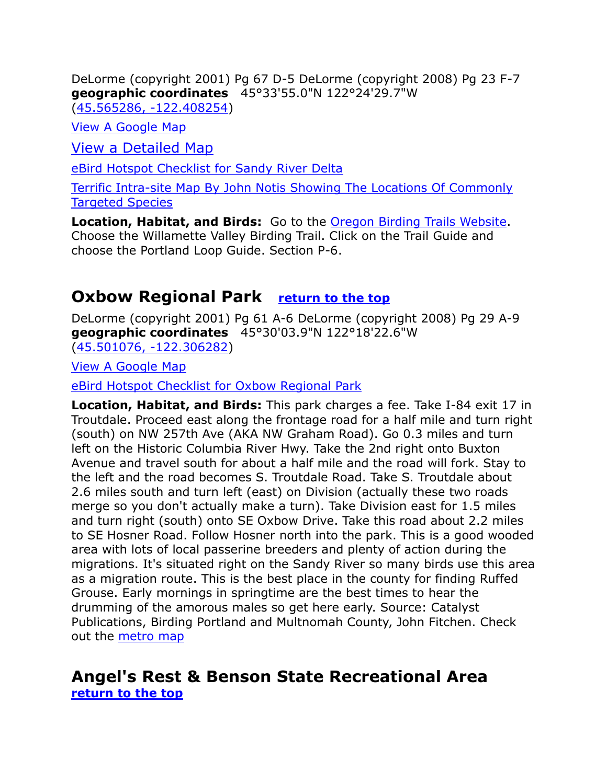DeLorme (copyright 2001) Pg 67 D-5 DeLorme (copyright 2008) Pg 23 F-7 **geographic coordinates** 45°33'55.0"N 122°24'29.7"W [\(45.565286, -122.408254\)](https://www.google.com/maps/place/45°33)

[View A Google Map](http://maps.google.com/maps/ms?hl=en&ie=UTF8&msa=0&ll=45.533289,-122.423401&spn=0.778238,2.110748&z=10&msid=108036481085398338899.00046db3985ea12c7068a)

[View a Detailed Map](https://maps.google.com/maps/ms?msa=0&msid=202580840043545663358.0004d8b220ec2f79f7e14)

[eBird Hotspot Checklist for Sandy River Delta](http://ebird.org/ebird/hotspot/L728130)

[Terrific Intra-site Map By John Notis Showing The Locations Of Commonly](http://maps.google.com/maps/ms?msa=0&t=h&z=15&msid=112875326708766955111.00048bec86c75297b5125)  [Targeted Species](http://maps.google.com/maps/ms?msa=0&t=h&z=15&msid=112875326708766955111.00048bec86c75297b5125)

**Location, Habitat, and Birds:** Go to the [Oregon Birding Trails Website.](http://www.oregonbirdingtrails.org/) Choose the Willamette Valley Birding Trail. Click on the Trail Guide and choose the Portland Loop Guide. Section P-6.

### <span id="page-14-0"></span>**Oxbow Regional Park [return to the top](#page-0-0)**

DeLorme (copyright 2001) Pg 61 A-6 DeLorme (copyright 2008) Pg 29 A-9 **geographic coordinates** 45°30'03.9"N 122°18'22.6"W [\(45.501076, -122.306282\)](https://www.google.com/maps/place/45°30)

[View A Google Map](http://maps.google.com/maps/ms?hl=en&ie=UTF8&msa=0&msid=108036481085398338899.00047ad0abf3c5174d8c6&ll=45.482281,-122.029266&spn=0.765464,2.113495&z=9)

[eBird Hotspot Checklist for Oxbow Regional Park](http://ebird.org/ebird/hotspot/L447445)

**Location, Habitat, and Birds:** This park charges a fee. Take I-84 exit 17 in Troutdale. Proceed east along the frontage road for a half mile and turn right (south) on NW 257th Ave (AKA NW Graham Road). Go 0.3 miles and turn left on the Historic Columbia River Hwy. Take the 2nd right onto Buxton Avenue and travel south for about a half mile and the road will fork. Stay to the left and the road becomes S. Troutdale Road. Take S. Troutdale about 2.6 miles south and turn left (east) on Division (actually these two roads merge so you don't actually make a turn). Take Division east for 1.5 miles and turn right (south) onto SE Oxbow Drive. Take this road about 2.2 miles to SE Hosner Road. Follow Hosner north into the park. This is a good wooded area with lots of local passerine breeders and plenty of action during the migrations. It's situated right on the Sandy River so many birds use this area as a migration route. This is the best place in the county for finding Ruffed Grouse. Early mornings in springtime are the best times to hear the drumming of the amorous males so get here early. Source: Catalyst Publications, Birding Portland and Multnomah County, John Fitchen. Check out the [metro map](http://www.oregonmetro.gov/index.cfm/go/by.web/id=150)

### <span id="page-14-1"></span>**Angel's Rest & Benson State Recreational Area [return to the top](#page-0-0)**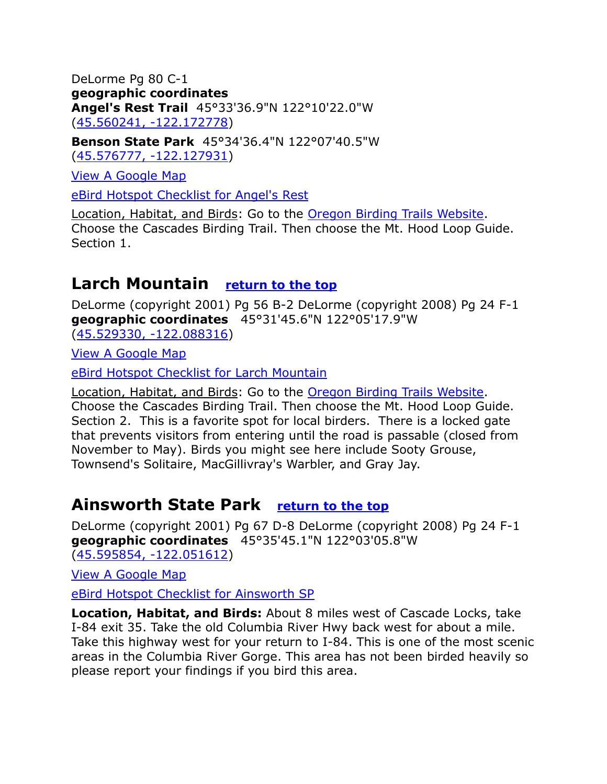DeLorme Pg 80 C-1 **geographic coordinates Angel's Rest Trail** 45°33'36.9"N 122°10'22.0"W [\(45.560241, -122.172778\)](https://www.google.com/maps/place/45°33)

**Benson State Park** 45°34'36.4"N 122°07'40.5"W [\(45.576777, -122.127931\)](https://www.google.com/maps/place/45°34)

[View A Google Map](http://maps.google.com/maps/ms?hl=en&ie=UTF8&msa=0&msid=108036481085398338899.00046d89e05311b912077&ll=45.574879,-122.069435&spn=0.368648,1.056747&z=11)

[eBird Hotspot Checklist for Angel's](http://ebird.org/ebird/hotspot/L1188776) Rest

Location, Habitat, and Birds: Go to the [Oregon Birding Trails Website.](http://www.oregonbirdingtrails.org/) Choose the Cascades Birding Trail. Then choose the Mt. Hood Loop Guide. Section 1.

# <span id="page-15-0"></span>**Larch Mountain [return to the top](#page-0-0)**

DeLorme (copyright 2001) Pg 56 B-2 DeLorme (copyright 2008) Pg 24 F-1 **geographic coordinates** 45°31'45.6"N 122°05'17.9"W

[\(45.529330, -122.088316\)](https://www.google.com/maps/place/45°31)

[View A Google Map](http://maps.google.com/maps/ms?hl=en&ie=UTF8&msa=0&msid=108036481085398338899.00046d89e05311b912077&ll=45.574879,-122.069435&spn=0.368648,1.056747&z=11)

[eBird Hotspot Checklist for Larch Mountain](http://ebird.org/ebird/hotspot/L447386)

Location, Habitat, and Birds: Go to the [Oregon Birding Trails Website.](http://www.oregonbirdingtrails.org/) Choose the Cascades Birding Trail. Then choose the Mt. Hood Loop Guide. Section 2. This is a favorite spot for local birders. There is a locked gate that prevents visitors from entering until the road is passable (closed from November to May). Birds you might see here include Sooty Grouse, Townsend's Solitaire, MacGillivray's Warbler, and Gray Jay.

### <span id="page-15-1"></span>**Ainsworth State Park [return to the top](#page-0-0)**

DeLorme (copyright 2001) Pg 67 D-8 DeLorme (copyright 2008) Pg 24 F-1 **geographic coordinates** 45°35'45.1"N 122°03'05.8"W [\(45.595854, -122.051612\)](https://www.google.com/maps/place/45°35)

[View A Google Map](http://maps.google.com/maps/ms?hl=en&ie=UTF8&msa=0&msid=108036481085398338899.00047ad0abf3c5174d8c6&ll=45.482281,-122.029266&spn=0.765464,2.113495&z=9)

[eBird Hotspot Checklist for Ainsworth SP](http://ebird.org/ebird/hotspot/L520486)

**Location, Habitat, and Birds:** About 8 miles west of Cascade Locks, take I-84 exit 35. Take the old Columbia River Hwy back west for about a mile. Take this highway west for your return to I-84. This is one of the most scenic areas in the Columbia River Gorge. This area has not been birded heavily so please report your findings if you bird this area.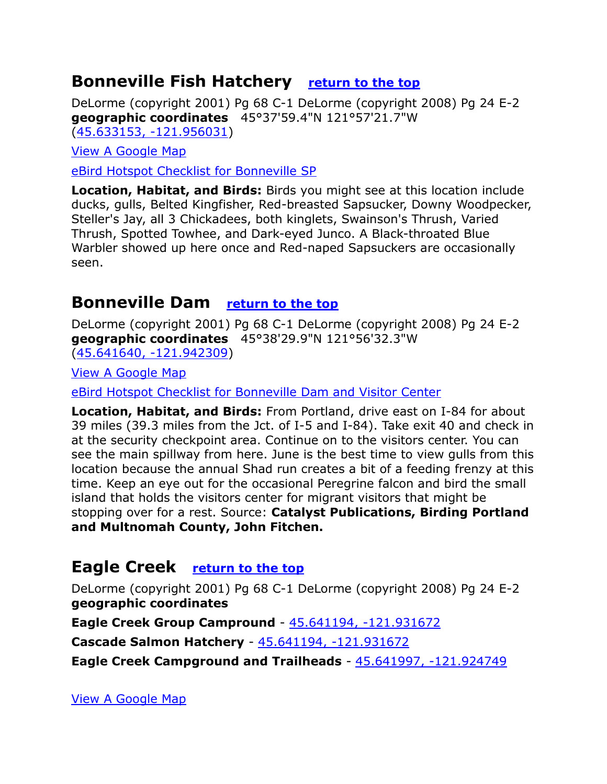### <span id="page-16-0"></span>**Bonneville Fish Hatchery [return to the top](#page-0-0)**

DeLorme (copyright 2001) Pg 68 C-1 DeLorme (copyright 2008) Pg 24 E-2 **geographic coordinates** 45°37'59.4"N 121°57'21.7"W [\(45.633153, -121.956031\)](https://www.google.com/maps/place/45°37)

[View A Google Map](http://maps.google.com/maps/ms?hl=en&ie=UTF8&msa=0&msid=108036481085398338899.00047ad0abf3c5174d8c6&ll=45.482281,-122.029266&spn=0.765464,2.113495&z=9)

[eBird Hotspot Checklist for Bonneville SP](http://ebird.org/ebird/hotspot/L1090683)

**Location, Habitat, and Birds:** Birds you might see at this location include ducks, gulls, Belted Kingfisher, Red-breasted Sapsucker, Downy Woodpecker, Steller's Jay, all 3 Chickadees, both kinglets, Swainson's Thrush, Varied Thrush, Spotted Towhee, and Dark-eyed Junco. A Black-throated Blue Warbler showed up here once and Red-naped Sapsuckers are occasionally seen.

# <span id="page-16-1"></span>**Bonneville Dam [return to the top](#page-0-0)**

DeLorme (copyright 2001) Pg 68 C-1 DeLorme (copyright 2008) Pg 24 E-2 **geographic coordinates** 45°38'29.9"N 121°56'32.3"W [\(45.641640, -121.942309\)](https://www.google.com/maps/place/45°38)

[View A Google Map](http://maps.google.com/maps/ms?hl=en&ie=UTF8&msa=0&msid=108036481085398338899.00047ad0abf3c5174d8c6&ll=45.482281,-122.029266&spn=0.765464,2.113495&z=9)

[eBird Hotspot Checklist for Bonneville Dam and Visitor Center](http://ebird.org/ebird/hotspot/L2115090)

**Location, Habitat, and Birds:** From Portland, drive east on I-84 for about 39 miles (39.3 miles from the Jct. of I-5 and I-84). Take exit 40 and check in at the security checkpoint area. Continue on to the visitors center. You can see the main spillway from here. June is the best time to view gulls from this location because the annual Shad run creates a bit of a feeding frenzy at this time. Keep an eye out for the occasional Peregrine falcon and bird the small island that holds the visitors center for migrant visitors that might be stopping over for a rest. Source: **Catalyst Publications, Birding Portland and Multnomah County, John Fitchen.**

### <span id="page-16-2"></span>**Eagle Creek [return to the top](#page-0-0)**

DeLorme (copyright 2001) Pg 68 C-1 DeLorme (copyright 2008) Pg 24 E-2 **geographic coordinates**

**Eagle Creek Group Campround** - [45.641194, -121.931672](https://www.google.com/maps/place/45°38)

**Cascade Salmon Hatchery** - [45.641194, -121.931672](https://www.google.com/maps/place/45°38)

**Eagle Creek Campground and Trailheads** - [45.641997, -121.924749](https://www.google.com/maps/place/45°38)

[View A Google Map](http://maps.google.com/maps/ms?hl=en&ie=UTF8&msa=0&msid=108036481085398338899.00047ad0abf3c5174d8c6&ll=45.482281,-122.029266&spn=0.765464,2.113495&z=9)